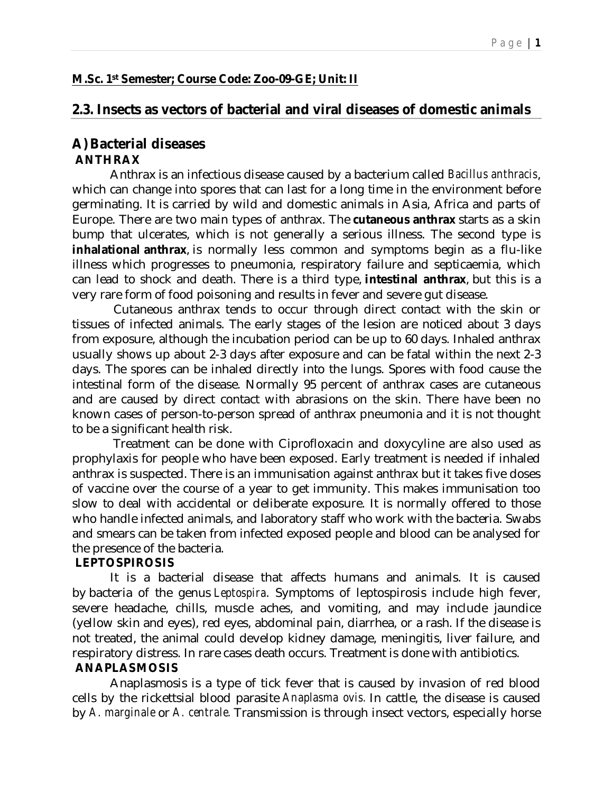# **M.Sc. 1st Semester; Course Code: Zoo-09-GE; Unit: II**

# **2.3. Insects as vectors of bacterial and viral diseases of domestic animals**

# **A) Bacterial diseases ANTHRAX**

 Anthrax is an infectious disease caused by a bacterium called *Bacillus anthracis*, which can change into spores that can last for a long time in the environment before germinating. It is carried by wild and domestic animals in Asia, Africa and parts of Europe. There are two main types of anthrax. The **cutaneous anthrax** starts as a skin bump that ulcerates, which is not generally a serious illness. The second type is **inhalational anthrax**, is normally less common and symptoms begin as a flu-like illness which progresses to pneumonia, respiratory failure and septicaemia, which can lead to shock and death. There is a third type, **intestinal anthrax**, but this is a very rare form of food poisoning and results in fever and severe gut disease.

 Cutaneous anthrax tends to occur through direct contact with the skin or tissues of infected animals. The early stages of the lesion are noticed about 3 days from exposure, although the incubation period can be up to 60 days. Inhaled anthrax usually shows up about 2-3 days after exposure and can be fatal within the next 2-3 days. The spores can be inhaled directly into the lungs. Spores with food cause the intestinal form of the disease. Normally 95 percent of anthrax cases are cutaneous and are caused by direct contact with abrasions on the skin. There have been no known cases of person-to-person spread of anthrax pneumonia and it is not thought to be a significant health risk.

 Treatment can be done with Ciprofloxacin and doxycyline are also used as prophylaxis for people who have been exposed. Early treatment is needed if inhaled anthrax is suspected. There is an immunisation against anthrax but it takes five doses of vaccine over the course of a year to get immunity. This makes immunisation too slow to deal with accidental or deliberate exposure. It is normally offered to those who handle infected animals, and laboratory staff who work with the bacteria. Swabs and smears can be taken from infected exposed people and blood can be analysed for the presence of the bacteria.

### **LEPTOSPIROSIS**

It is a bacterial disease that affects humans and animals. It is caused by bacteria of the genus *Leptospira*. Symptoms of leptospirosis include high fever, severe headache, chills, muscle aches, and vomiting, and may include jaundice (yellow skin and eyes), red eyes, abdominal pain, diarrhea, or a rash. If the disease is not treated, the animal could develop kidney damage, meningitis, liver failure, and respiratory distress. In rare cases death occurs. Treatment is done with antibiotics.

### **ANAPLASMOSIS**

 Anaplasmosis is a type of tick fever that is caused by invasion of red blood cells by the rickettsial blood parasite *Anaplasma ovis.* In cattle, the disease is caused by *A. marginale* or *A. centrale.* Transmission is through insect vectors, especially horse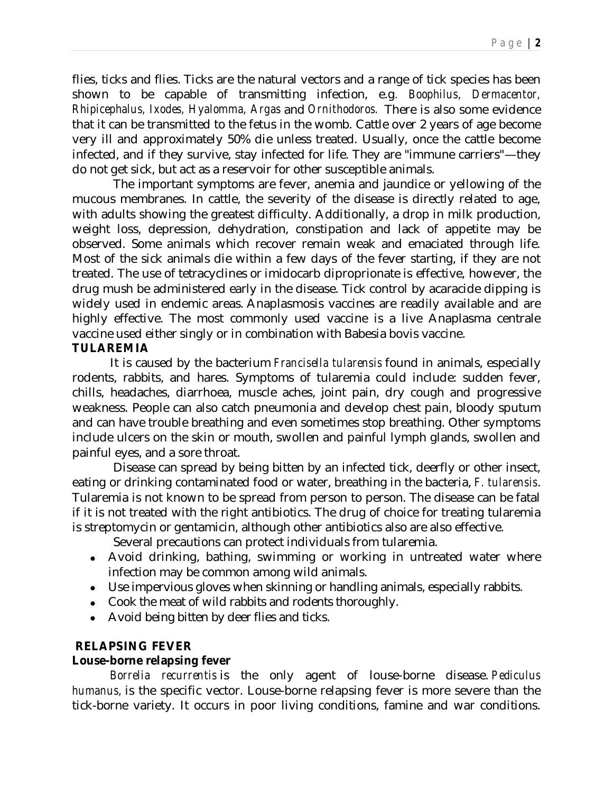flies, ticks and flies. Ticks are the natural vectors and a range of tick species has been shown to be capable of transmitting infection, e.g*. Boophilus, Dermacentor, Rhipicephalus, Ixodes, Hyalomma, Argas* and *Ornithodoros.* There is also some evidence that it can be transmitted to the fetus in the womb. Cattle over 2 years of age become very ill and approximately 50% die unless treated. Usually, once the cattle become infected, and if they survive, stay infected for life. They are "immune carriers"—they do not get sick, but act as a reservoir for other susceptible animals.

 The important symptoms are fever, anemia and jaundice or yellowing of the mucous membranes. In cattle, the severity of the disease is directly related to age, with adults showing the greatest difficulty. Additionally, a drop in milk production, weight loss, depression, dehydration, constipation and lack of appetite may be observed. Some animals which recover remain weak and emaciated through life. Most of the sick animals die within a few days of the fever starting, if they are not treated. The use of tetracyclines or imidocarb diproprionate is effective, however, the drug mush be administered early in the disease. Tick control by acaracide dipping is widely used in endemic areas. Anaplasmosis vaccines are readily available and are highly effective. The most commonly used vaccine is a live Anaplasma centrale vaccine used either singly or in combination with Babesia bovis vaccine.

### **TULAREMIA**

 It is caused by the bacterium *Francisella tularensis* found in animals, especially rodents, rabbits, and hares. Symptoms of tularemia could include: sudden fever, chills, headaches, diarrhoea, muscle aches, joint pain, dry cough and progressive weakness. People can also catch pneumonia and develop chest pain, bloody sputum and can have trouble breathing and even sometimes stop breathing. Other symptoms include ulcers on the skin or mouth, swollen and painful lymph glands, swollen and painful eyes, and a sore throat.

 Disease can spread by being bitten by an infected tick, deerfly or other insect, eating or drinking contaminated food or water, breathing in the bacteria, *F. tularensis*. Tularemia is not known to be spread from person to person. The disease can be fatal if it is not treated with the right antibiotics. The drug of choice for treating tularemia is streptomycin or gentamicin, although other antibiotics also are also effective.

Several precautions can protect individuals from tularemia.

- Avoid drinking, bathing, swimming or working in untreated water where infection may be common among wild animals.
- Use impervious gloves when skinning or handling animals, especially rabbits.
- Cook the meat of wild rabbits and rodents thoroughly.
- Avoid being bitten by deer flies and ticks.

# **RELAPSING FEVER**

### **Louse-borne relapsing fever**

 *Borrelia recurrentis* is the only agent of louse-borne disease. *Pediculus humanus,* is the specific vector. Louse-borne relapsing fever is more severe than the tick-borne variety. It occurs in poor living conditions, famine and war conditions.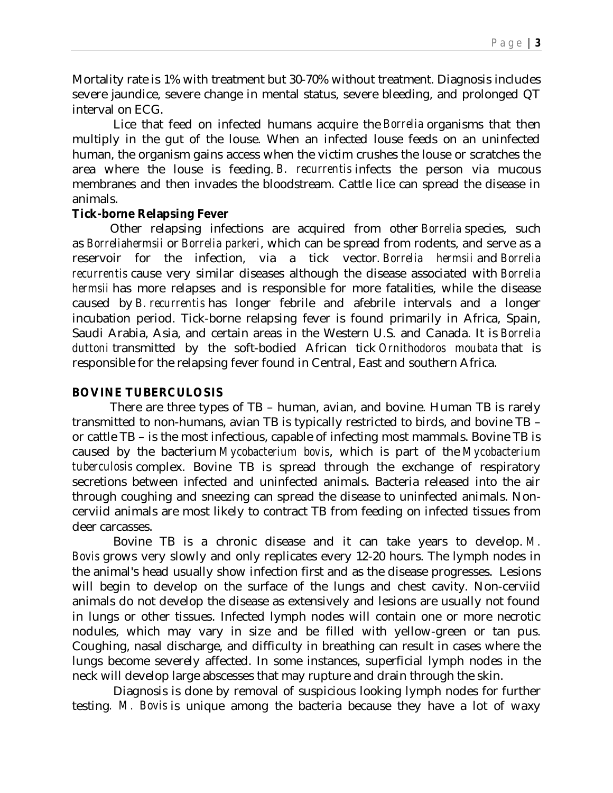Mortality rate is 1% with treatment but 30-70% without treatment. Diagnosis includes severe jaundice, severe change in mental status, severe bleeding, and prolonged QT interval on ECG.

 Lice that feed on infected humans acquire the *Borrelia* organisms that then multiply in the gut of the louse. When an infected louse feeds on an uninfected human, the organism gains access when the victim crushes the louse or scratches the area where the louse is feeding. *B. recurrentis* infects the person via mucous membranes and then invades the bloodstream. Cattle lice can spread the disease in animals.

### **Tick-borne Relapsing Fever**

 Other relapsing infections are acquired from other *Borrelia* species, such as *Borreliahermsii* or *Borrelia parkeri*, which can be spread from rodents, and serve as a reservoir for the infection, via a tick vector. *Borrelia hermsii* and *Borrelia recurrentis* cause very similar diseases although the disease associated with *Borrelia hermsii* has more relapses and is responsible for more fatalities, while the disease caused by *B. recurrentis* has longer febrile and afebrile intervals and a longer incubation period. Tick-borne relapsing fever is found primarily in Africa, Spain, Saudi Arabia, Asia, and certain areas in the Western U.S. and Canada. It is *Borrelia duttoni* transmitted by the soft-bodied African tick *Ornithodoros moubata* that is responsible for the relapsing fever found in Central, East and southern Africa.

# **BOVINE TUBERCULOSIS**

 There are three types of TB – human, avian, and bovine. Human TB is rarely transmitted to non-humans, avian TB is typically restricted to birds, and bovine TB – or cattle TB – is the most infectious, capable of infecting most mammals. Bovine TB is caused by the bacterium *Mycobacterium bovis*, which is part of the *Mycobacterium tuberculosis* complex. Bovine TB is spread through the exchange of respiratory secretions between infected and uninfected animals. Bacteria released into the air through coughing and sneezing can spread the disease to uninfected animals. Noncerviid animals are most likely to contract TB from feeding on infected tissues from deer carcasses.

 Bovine TB is a chronic disease and it can take years to develop. *M. Bovis* grows very slowly and only replicates every 12-20 hours. The lymph nodes in the animal's head usually show infection first and as the disease progresses. Lesions will begin to develop on the surface of the lungs and chest cavity. Non-cerviid animals do not develop the disease as extensively and lesions are usually not found in lungs or other tissues. Infected lymph nodes will contain one or more necrotic nodules, which may vary in size and be filled with yellow-green or tan pus. Coughing, nasal discharge, and difficulty in breathing can result in cases where the lungs become severely affected. In some instances, superficial lymph nodes in the neck will develop large abscesses that may rupture and drain through the skin.

 Diagnosis is done by removal of suspicious looking lymph nodes for further testing*. M. Bovis* is unique among the bacteria because they have a lot of waxy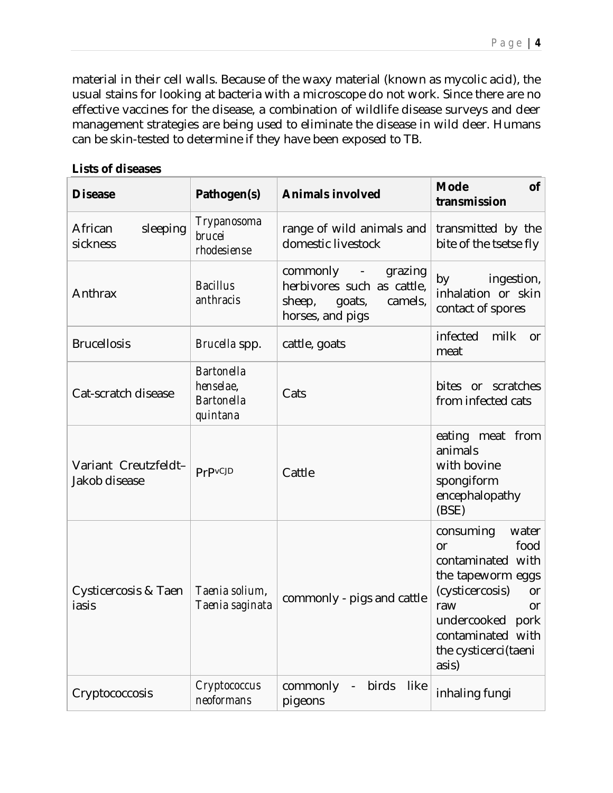material in their cell walls. Because of the waxy material (known as mycolic acid), the usual stains for looking at bacteria with a microscope do not work. Since there are no effective vaccines for the disease, a combination of wildlife disease surveys and deer management strategies are being used to eliminate the disease in wild deer. Humans can be skin-tested to determine if they have been exposed to TB.

#### **Lists of diseases**

| <b>Disease</b>                        | Pathogen(s)                                                     | <b>Animals involved</b>                                                                                | <b>Mode</b><br><b>of</b><br>transmission                                                                                                                                                                    |  |
|---------------------------------------|-----------------------------------------------------------------|--------------------------------------------------------------------------------------------------------|-------------------------------------------------------------------------------------------------------------------------------------------------------------------------------------------------------------|--|
| sleeping<br>African<br>sickness       | Trypanosoma<br>brucei<br>rhodesiense                            | range of wild animals and<br>domestic livestock                                                        | transmitted by the<br>bite of the tsetse fly                                                                                                                                                                |  |
| Anthrax                               | <b>Bacillus</b><br>anthracis                                    | commonly -<br>grazing<br>herbivores such as cattle,<br>goats,<br>sheep,<br>camels,<br>horses, and pigs | ingestion,<br>by<br>inhalation or skin<br>contact of spores                                                                                                                                                 |  |
| <b>Brucellosis</b>                    | Brucella spp.                                                   | cattle, goats                                                                                          | milk<br>infected<br><b>or</b><br>meat                                                                                                                                                                       |  |
| Cat-scratch disease                   | <b>Bartonella</b><br>henselae,<br><b>Bartonella</b><br>quintana | Cats                                                                                                   | bites or scratches<br>from infected cats                                                                                                                                                                    |  |
| Variant Creutzfeldt-<br>Jakob disease | PrPvCJD                                                         | Cattle                                                                                                 | eating meat from<br>animals<br>with bovine<br>spongiform<br>encephalopathy<br>(BSE)                                                                                                                         |  |
| Cysticercosis & Taen<br>iasis         | Taenia solium,<br>Taenia saginata                               | commonly - pigs and cattle                                                                             | consuming<br>water<br>food<br>or<br>contaminated with<br>the tapeworm eggs<br>(cysticercosis)<br><b>or</b><br>raw<br><b>or</b><br>undercooked<br>pork<br>contaminated with<br>the cysticerci(taeni<br>asis) |  |
| Cryptococcosis                        | Cryptococcus<br>neoformans                                      | commonly<br>birds<br>like<br>$\blacksquare$<br>pigeons                                                 | inhaling fungi                                                                                                                                                                                              |  |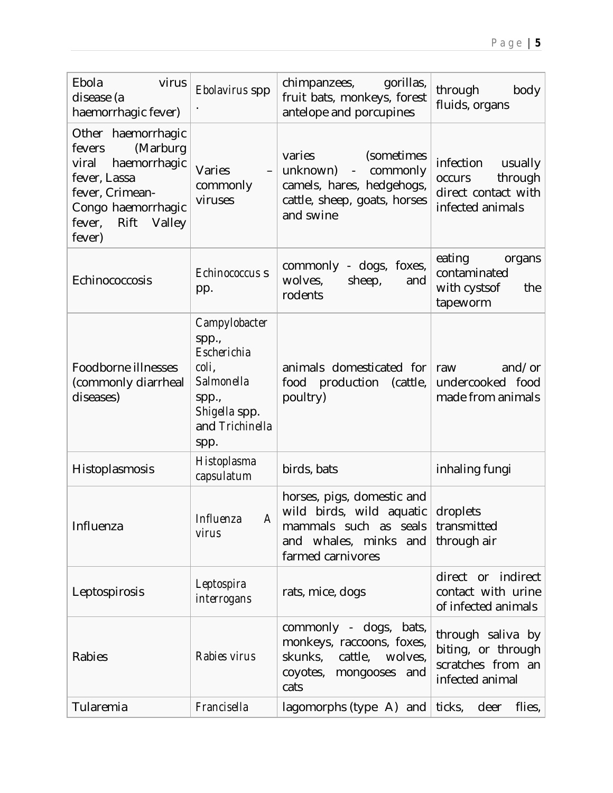| Ebola<br>virus<br>disease (a<br>haemorrhagic fever)                                                                                                              | Ebolavirus spp                                                                                                    | gorillas,<br>chimpanzees,<br>fruit bats, monkeys, forest<br>antelope and porcupines                                                      | through<br>body<br>fluids, organs                                                    |  |
|------------------------------------------------------------------------------------------------------------------------------------------------------------------|-------------------------------------------------------------------------------------------------------------------|------------------------------------------------------------------------------------------------------------------------------------------|--------------------------------------------------------------------------------------|--|
| Other haemorrhagic<br>(Marburg<br>fevers<br>haemorrhagic<br>viral<br>fever, Lassa<br>fever, Crimean-<br>Congo haemorrhagic<br>Rift<br>Valley<br>fever,<br>fever) | Varies<br>commonly<br>viruses                                                                                     | varies<br>(sometimes<br>unknown)<br>commonly<br>$\blacksquare$<br>camels, hares, hedgehogs,<br>cattle, sheep, goats, horses<br>and swine | infection<br>usually<br>through<br>occurs<br>direct contact with<br>infected animals |  |
| Echinococcosis                                                                                                                                                   | Echinococcus s<br>pp.                                                                                             | commonly<br>- dogs, foxes,<br>wolves,<br>sheep,<br>and<br>rodents                                                                        | eating<br>organs<br>contaminated<br>with cystsof<br>the<br>tapeworm                  |  |
| Foodborne illnesses<br>(commonly diarrheal<br>diseases)                                                                                                          | Campylobacter<br>spp.,<br>Escherichia<br>coli,<br>Salmonella<br>spp.,<br>Shigella spp.<br>and Trichinella<br>spp. | animals domesticated for<br>food production<br>(cattle,<br>poultry)                                                                      | and/or<br>raw<br>undercooked food<br>made from animals                               |  |
| Histoplasmosis                                                                                                                                                   | Histoplasma<br>capsulatum                                                                                         | birds, bats                                                                                                                              | inhaling fungi                                                                       |  |
| Influenza                                                                                                                                                        | Influenza<br>A<br>virus                                                                                           | horses, pigs, domestic and<br>wild birds, wild aquatic<br>mammals such as seals<br>and whales, minks and<br>farmed carnivores            | droplets<br>transmitted<br>through air                                               |  |
| Leptospirosis                                                                                                                                                    | Leptospira<br>interrogans                                                                                         | rats, mice, dogs                                                                                                                         | direct or indirect<br>contact with urine<br>of infected animals                      |  |
| Rabies                                                                                                                                                           | Rabies virus                                                                                                      | commonly - dogs, bats,<br>monkeys, raccoons, foxes,<br>skunks,<br>cattle,<br>wolves,<br>coyotes, mongooses and<br>cats                   | through saliva by<br>biting, or through<br>scratches from an<br>infected animal      |  |
| Tularemia                                                                                                                                                        | Francisella                                                                                                       | lagomorphs (type $\overline{A}$ ) and                                                                                                    | ticks,<br>deer<br>flies,                                                             |  |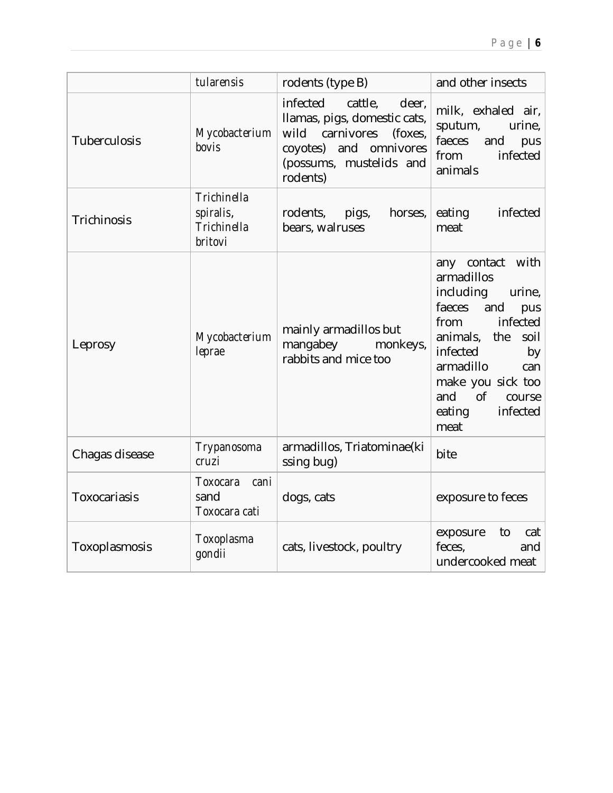|                | tularensis                                         | rodents (type B)                                                                                                                                               | and other insects                                                                                                                                                                                                                                |  |
|----------------|----------------------------------------------------|----------------------------------------------------------------------------------------------------------------------------------------------------------------|--------------------------------------------------------------------------------------------------------------------------------------------------------------------------------------------------------------------------------------------------|--|
| Tuberculosis   | Mycobacterium<br>bovis                             | infected<br>cattle,<br>deer,<br>Ilamas, pigs, domestic cats,<br>carnivores<br>wild<br>(foxes,<br>coyotes) and omnivores<br>(possums, mustelids and<br>rodents) | milk, exhaled air,<br>sputum,<br>urine,<br>faeces<br>and<br>pus<br>infected<br>from<br>animals                                                                                                                                                   |  |
| Trichinosis    | Trichinella<br>spiralis,<br>Trichinella<br>britovi | rodents,<br>pigs,<br>horses,<br>bears, walruses                                                                                                                | eating<br>infected<br>meat                                                                                                                                                                                                                       |  |
| Leprosy        | Mycobacterium<br>leprae                            | mainly armadillos but<br>mangabey<br>monkeys,<br>rabbits and mice too                                                                                          | any contact with<br>armadillos<br>including<br>urine,<br>faeces<br>and<br>pus<br>infected<br>from<br>animals, the<br>soil<br>infected<br>by<br>armadillo<br>can<br>make you sick too<br>and<br><b>of</b><br>course<br>eating<br>infected<br>meat |  |
| Chagas disease | Trypanosoma<br>cruzi                               | armadillos, Triatominae(ki<br>ssing bug)                                                                                                                       | bite                                                                                                                                                                                                                                             |  |
| Toxocariasis   | Toxocara<br>cani<br>sand<br>Toxocara cati          | dogs, cats                                                                                                                                                     | exposure to feces                                                                                                                                                                                                                                |  |
| Toxoplasmosis  | Toxoplasma<br>gondii                               | cats, livestock, poultry                                                                                                                                       | cat<br>exposure<br>to<br>feces,<br>and<br>undercooked meat                                                                                                                                                                                       |  |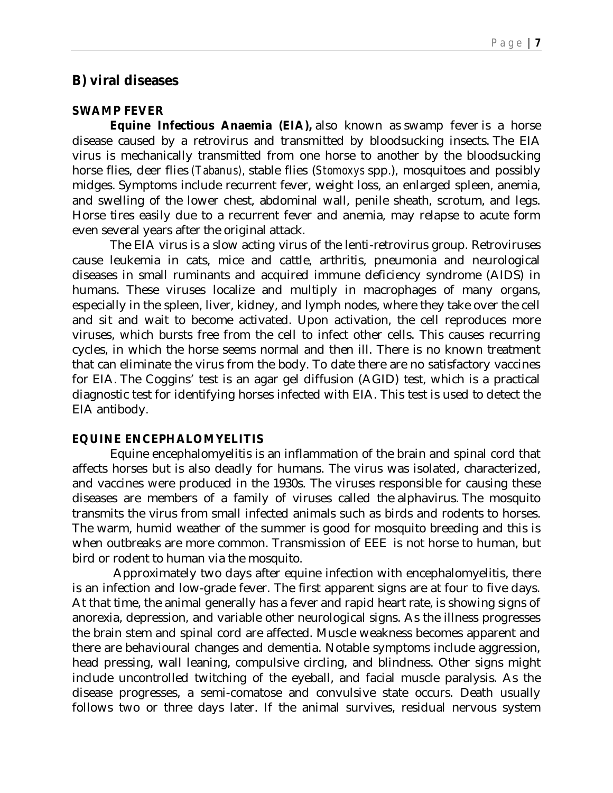# **B) viral diseases**

### **SWAMP FEVER**

 **Equine Infectious Anaemia (EIA),** also known as swamp fever is a horse disease caused by a retrovirus and transmitted by bloodsucking insects. The EIA virus is mechanically transmitted from one horse to another by the bloodsucking horse flies, deer flies *(Tabanus),* stable flies (*Stomoxys* spp.), mosquitoes and possibly midges. Symptoms include recurrent fever, weight loss, an enlarged spleen, anemia, and swelling of the lower chest, abdominal wall, penile sheath, scrotum, and legs. Horse tires easily due to a recurrent fever and anemia, may relapse to acute form even several years after the original attack.

 The EIA virus is a slow acting virus of the lenti-retrovirus group. Retroviruses cause leukemia in cats, mice and cattle, arthritis, pneumonia and neurological diseases in small ruminants and acquired immune deficiency syndrome (AIDS) in humans. These viruses localize and multiply in macrophages of many organs, especially in the spleen, liver, kidney, and lymph nodes, where they take over the cell and sit and wait to become activated. Upon activation, the cell reproduces more viruses, which bursts free from the cell to infect other cells. This causes recurring cycles, in which the horse seems normal and then ill. There is no known treatment that can eliminate the virus from the body. To date there are no satisfactory vaccines for EIA. The Coggins' test is an agar gel diffusion (AGID) test, which is a practical diagnostic test for identifying horses infected with EIA. This test is used to detect the EIA antibody.

### **EQUINE ENCEPHALOMYELITIS**

 Equine encephalomyelitis is an inflammation of the brain and spinal cord that affects horses but is also deadly for humans. The virus was isolated, characterized, and vaccines were produced in the 1930s. The viruses responsible for causing these diseases are members of a family of viruses called the alphavirus. The mosquito transmits the virus from small infected animals such as birds and rodents to horses. The warm, humid weather of the summer is good for mosquito breeding and this is when outbreaks are more common. Transmission of EEE is not horse to human, but bird or rodent to human via the mosquito.

 Approximately two days after equine infection with encephalomyelitis, there is an infection and low-grade fever. The first apparent signs are at four to five days. At that time, the animal generally has a fever and rapid heart rate, is showing signs of anorexia, depression, and variable other neurological signs. As the illness progresses the brain stem and spinal cord are affected. Muscle weakness becomes apparent and there are behavioural changes and dementia. Notable symptoms include aggression, head pressing, wall leaning, compulsive circling, and blindness. Other signs might include uncontrolled twitching of the eyeball, and facial muscle paralysis. As the disease progresses, a semi-comatose and convulsive state occurs. Death usually follows two or three days later. If the animal survives, residual nervous system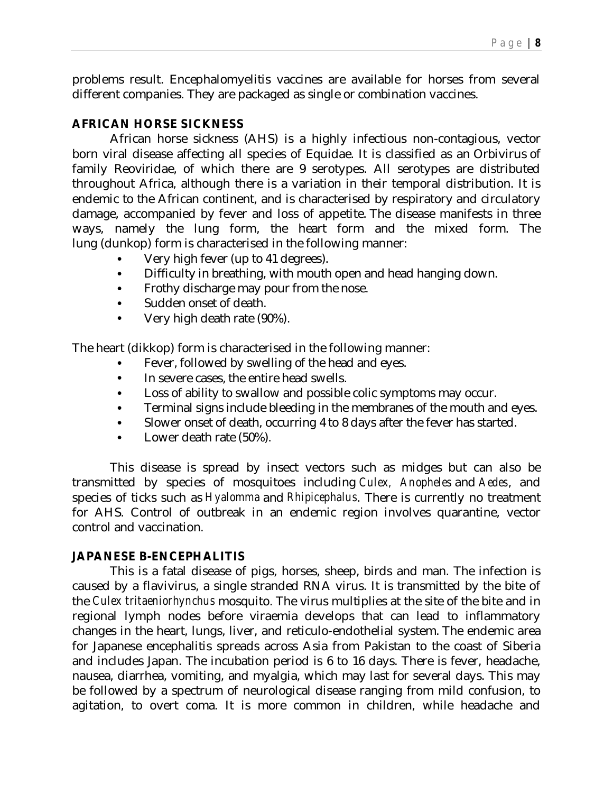problems result. Encephalomyelitis vaccines are available for horses from several different companies. They are packaged as single or combination vaccines.

# **AFRICAN HORSE SICKNESS**

African horse sickness (AHS) is a highly infectious non-contagious, vector born viral disease affecting all species of Equidae. It is classified as an Orbivirus of family Reoviridae, of which there are 9 serotypes. All serotypes are distributed throughout Africa, although there is a variation in their temporal distribution. It is endemic to the African continent, and is characterised by respiratory and circulatory damage, accompanied by fever and loss of appetite. The disease manifests in three ways, namely the lung form, the heart form and the mixed form. The lung (dunkop) form is characterised in the following manner:

- Very high fever (up to 41 degrees).
- Difficulty in breathing, with mouth open and head hanging down.
- Frothy discharge may pour from the nose.
- Sudden onset of death.
- Very high death rate (90%).

The heart (dikkop) form is characterised in the following manner:

- Fever, followed by swelling of the head and eyes.
- In severe cases, the entire head swells.
- Loss of ability to swallow and possible colic symptoms may occur.
- Terminal signs include bleeding in the membranes of the mouth and eyes.
- Slower onset of death, occurring 4 to 8 days after the fever has started.
- Lower death rate (50%).

 This disease is spread by insect vectors such as midges but can also be transmitted by species of mosquitoes including *Culex, Anopheles* and *Aedes*, and species of ticks such as *Hyalomma* and *Rhipicephalus*. There is currently no treatment for AHS. Control of outbreak in an endemic region involves quarantine, vector control and vaccination.

### **JAPANESE B-ENCEPHALITIS**

 This is a fatal disease of pigs, horses, sheep, birds and man. The infection is caused by a flavivirus, a single stranded RNA virus. It is transmitted by the bite of the *Culex tritaeniorhynchus* mosquito. The virus multiplies at the site of the bite and in regional lymph nodes before viraemia develops that can lead to inflammatory changes in the heart, lungs, liver, and reticulo-endothelial system. The endemic area for Japanese encephalitis spreads across Asia from Pakistan to the coast of Siberia and includes Japan. The incubation period is 6 to 16 days. There is fever, headache, nausea, diarrhea, vomiting, and myalgia, which may last for several days. This may be followed by a spectrum of neurological disease ranging from mild confusion, to agitation, to overt coma. It is more common in children, while headache and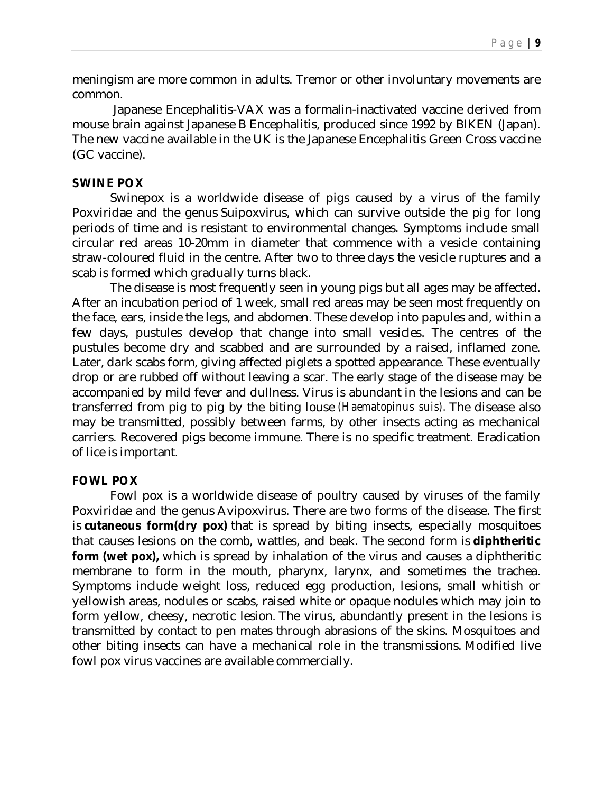meningism are more common in adults. Tremor or other involuntary movements are common.

 Japanese Encephalitis-VAX was a formalin-inactivated vaccine derived from mouse brain against Japanese B Encephalitis, produced since 1992 by BIKEN (Japan). The new vaccine available in the UK is the Japanese Encephalitis Green Cross vaccine (GC vaccine).

#### **SWINE POX**

 Swinepox is a worldwide disease of pigs caused by a virus of the family Poxviridae and the genus Suipoxvirus, which can survive outside the pig for long periods of time and is resistant to environmental changes. Symptoms include small circular red areas 10-20mm in diameter that commence with a vesicle containing straw-coloured fluid in the centre. After two to three days the vesicle ruptures and a scab is formed which gradually turns black.

 The disease is most frequently seen in young pigs but all ages may be affected. After an incubation period of 1 week, small red areas may be seen most frequently on the face, ears, inside the legs, and abdomen. These develop into papules and, within a few days, pustules develop that change into small vesicles. The centres of the pustules become dry and scabbed and are surrounded by a raised, inflamed zone. Later, dark scabs form, giving affected piglets a spotted appearance. These eventually drop or are rubbed off without leaving a scar. The early stage of the disease may be accompanied by mild fever and dullness. Virus is abundant in the lesions and can be transferred from pig to pig by the biting louse *(Haematopinus suis).* The disease also may be transmitted, possibly between farms, by other insects acting as mechanical carriers. Recovered pigs become immune. There is no specific treatment. Eradication of lice is important.

### **FOWL POX**

 Fowl pox is a worldwide disease of poultry caused by viruses of the family Poxviridae and the genus Avipoxvirus. There are two forms of the disease. The first is **cutaneous form(dry pox)** that is spread by biting insects, especially mosquitoes that causes lesions on the comb, wattles, and beak. The second form is **diphtheritic form (wet pox),** which is spread by inhalation of the virus and causes a diphtheritic membrane to form in the mouth, pharynx, larynx, and sometimes the trachea. Symptoms include weight loss, reduced egg production, lesions, small whitish or yellowish areas, nodules or scabs, raised white or opaque nodules which may join to form yellow, cheesy, necrotic lesion. The virus, abundantly present in the lesions is transmitted by contact to pen mates through abrasions of the skins. Mosquitoes and other biting insects can have a mechanical role in the transmissions. Modified live fowl pox virus vaccines are available commercially.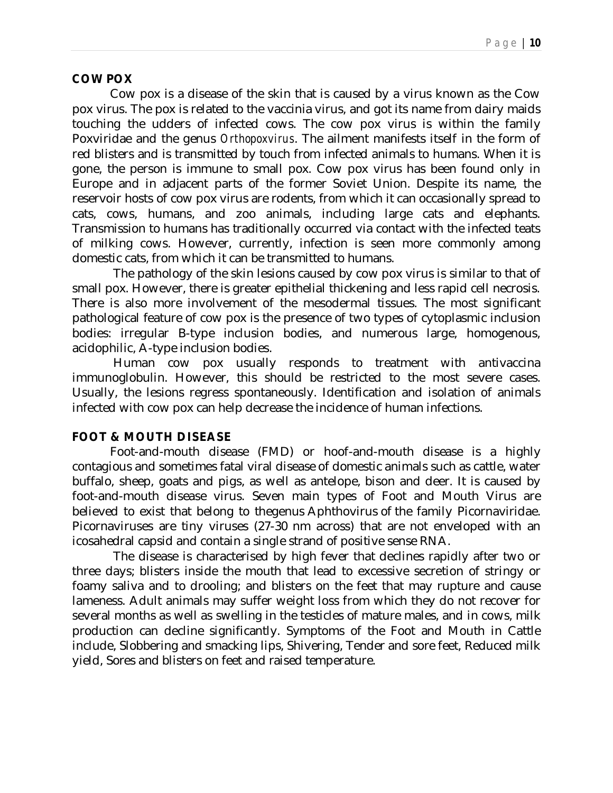#### **COW POX**

 Cow pox is a disease of the skin that is caused by a virus known as the Cow pox virus. The pox is related to the vaccinia virus, and got its name from dairy maids touching the udders of infected cows. The cow pox virus is within the family Poxviridae and the genus *Orthopoxvirus*. The ailment manifests itself in the form of red blisters and is transmitted by touch from infected animals to humans. When it is gone, the person is immune to small pox. Cow pox virus has been found only in Europe and in adjacent parts of the former Soviet Union. Despite its name, the reservoir hosts of cow pox virus are rodents, from which it can occasionally spread to cats, cows, humans, and zoo animals, including large cats and elephants. Transmission to humans has traditionally occurred via contact with the infected teats of milking cows. However, currently, infection is seen more commonly among domestic cats, from which it can be transmitted to humans.

 The pathology of the skin lesions caused by cow pox virus is similar to that of small pox. However, there is greater epithelial thickening and less rapid cell necrosis. There is also more involvement of the mesodermal tissues. The most significant pathological feature of cow pox is the presence of two types of cytoplasmic inclusion bodies: irregular B-type inclusion bodies, and numerous large, homogenous, acidophilic, A-type inclusion bodies.

 Human cow pox usually responds to treatment with antivaccina immunoglobulin. However, this should be restricted to the most severe cases. Usually, the lesions regress spontaneously. Identification and isolation of animals infected with cow pox can help decrease the incidence of human infections.

### **FOOT & MOUTH DISEASE**

 Foot-and-mouth disease (FMD) or hoof-and-mouth disease is a highly contagious and sometimes fatal viral disease of domestic animals such as cattle, water buffalo, sheep, goats and pigs, as well as antelope, bison and deer. It is caused by foot-and-mouth disease virus. Seven main types of Foot and Mouth Virus are believed to exist that belong to thegenus Aphthovirus of the family Picornaviridae. Picornaviruses are tiny viruses (27-30 nm across) that are not enveloped with an icosahedral capsid and contain a single strand of positive sense RNA.

 The disease is characterised by high fever that declines rapidly after two or three days; blisters inside the mouth that lead to excessive secretion of stringy or foamy saliva and to drooling; and blisters on the feet that may rupture and cause lameness. Adult animals may suffer weight loss from which they do not recover for several months as well as swelling in the testicles of mature males, and in cows, milk production can decline significantly. Symptoms of the Foot and Mouth in Cattle include, Slobbering and smacking lips, Shivering, Tender and sore feet, Reduced milk yield, Sores and blisters on feet and raised temperature.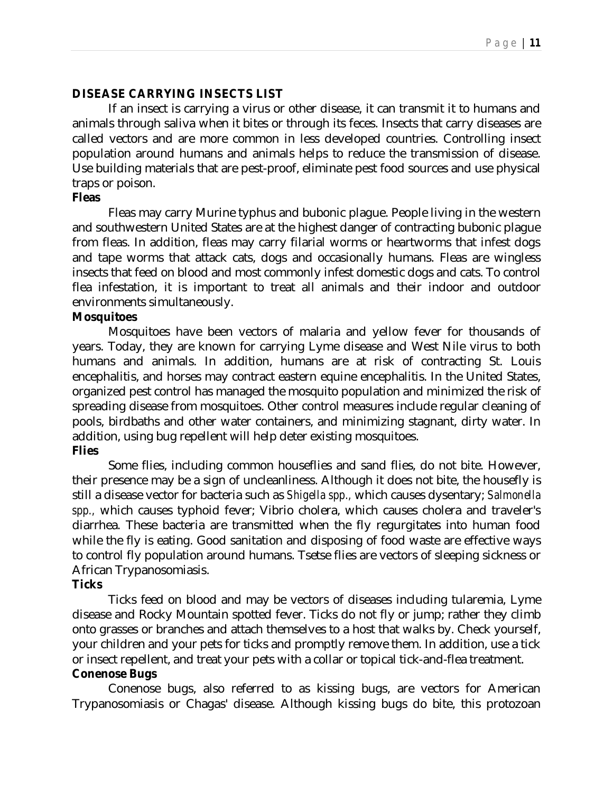### **DISEASE CARRYING INSECTS LIST**

If an insect is carrying a virus or other disease, it can transmit it to humans and animals through saliva when it bites or through its feces. Insects that carry diseases are called vectors and are more common in less developed countries. Controlling insect population around humans and animals helps to reduce the transmission of disease. Use building materials that are pest-proof, eliminate pest food sources and use physical traps or poison.

#### **Fleas**

Fleas may carry Murine typhus and bubonic plague. People living in the western and southwestern United States are at the highest danger of contracting bubonic plague from fleas. In addition, fleas may carry filarial worms or heartworms that infest dogs and tape worms that attack cats, dogs and occasionally humans. Fleas are wingless insects that feed on blood and most commonly infest domestic dogs and cats. To control flea infestation, it is important to treat all animals and their indoor and outdoor environments simultaneously.

#### **Mosquitoes**

Mosquitoes have been vectors of malaria and yellow fever for thousands of years. Today, they are known for carrying Lyme disease and West Nile virus to both humans and animals. In addition, humans are at risk of contracting St. Louis encephalitis, and horses may contract eastern equine encephalitis. In the United States, organized pest control has managed the mosquito population and minimized the risk of spreading disease from mosquitoes. Other control measures include regular cleaning of pools, birdbaths and other water containers, and minimizing stagnant, dirty water. In addition, using bug repellent will help deter existing mosquitoes.

#### **Flies**

Some flies, including common houseflies and sand flies, do not bite. However, their presence may be a sign of uncleanliness. Although it does not bite, the housefly is still a disease vector for bacteria such as *Shigella spp.,* which causes dysentary; *Salmonella spp.,* which causes typhoid fever; Vibrio cholera, which causes cholera and traveler's diarrhea. These bacteria are transmitted when the fly regurgitates into human food while the fly is eating. Good sanitation and disposing of food waste are effective ways to control fly population around humans. Tsetse flies are vectors of sleeping sickness or African Trypanosomiasis.

#### **Ticks**

Ticks feed on blood and may be vectors of diseases including tularemia, Lyme disease and Rocky Mountain spotted fever. Ticks do not fly or jump; rather they climb onto grasses or branches and attach themselves to a host that walks by. Check yourself, your children and your pets for ticks and promptly remove them. In addition, use a tick or insect repellent, and treat your pets with a collar or topical tick-and-flea treatment.

# **Conenose Bugs**

Conenose bugs, also referred to as kissing bugs, are vectors for American Trypanosomiasis or Chagas' disease. Although kissing bugs do bite, this protozoan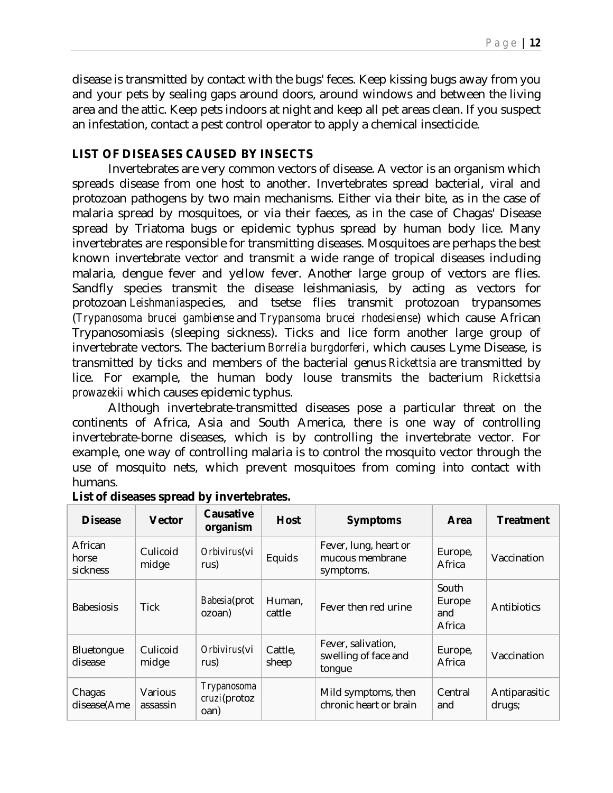disease is transmitted by contact with the bugs' feces. Keep kissing bugs away from you and your pets by sealing gaps around doors, around windows and between the living area and the attic. Keep pets indoors at night and keep all pet areas clean. If you suspect an infestation, contact a pest control operator to apply a chemical insecticide.

### **LIST OF DISEASES CAUSED BY INSECTS**

Invertebrates are very common vectors of disease. A vector is an organism which spreads disease from one host to another. Invertebrates spread bacterial, viral and protozoan pathogens by two main mechanisms. Either via their bite, as in the case of malaria spread by mosquitoes, or via their faeces, as in the case of Chagas' Disease spread by Triatoma bugs or epidemic typhus spread by human body lice. Many invertebrates are responsible for transmitting diseases. Mosquitoes are perhaps the best known invertebrate vector and transmit a wide range of tropical diseases including malaria, dengue fever and yellow fever. Another large group of vectors are flies. Sandfly species transmit the disease leishmaniasis, by acting as vectors for protozoan *Leishmania*species, and tsetse flies transmit protozoan trypansomes (*Trypanosoma brucei gambiense* and *Trypansoma brucei rhodesiense*) which cause African Trypanosomiasis (sleeping sickness). Ticks and lice form another large group of invertebrate vectors. The bacterium *Borrelia burgdorferi*, which causes Lyme Disease, is transmitted by ticks and members of the bacterial genus *Rickettsia* are transmitted by lice. For example, the human body louse transmits the bacterium *Rickettsia prowazekii* which causes epidemic typhus.

Although invertebrate-transmitted diseases pose a particular threat on the continents of Africa, Asia and South America, there is one way of controlling invertebrate-borne diseases, which is by controlling the invertebrate vector. For example, one way of controlling malaria is to control the mosquito vector through the use of mosquito nets, which prevent mosquitoes from coming into contact with humans.

| <b>Disease</b>               | <b>Vector</b>       | Causative<br>organism               | <b>Host</b>      | <b>Symptoms</b>                                       | Area                             | <b>Treatment</b>        |
|------------------------------|---------------------|-------------------------------------|------------------|-------------------------------------------------------|----------------------------------|-------------------------|
| African<br>horse<br>sickness | Culicoid<br>midge   | Orbivirus(vi<br>rus)                | Equids           | Fever, lung, heart or<br>mucous membrane<br>symptoms. | Europe,<br>Africa                | Vaccination             |
| <b>Babesiosis</b>            | Tick                | Babesia(prot<br>ozoan)              | Human,<br>cattle | Fever then red urine                                  | South<br>Europe<br>and<br>Africa | Antibiotics             |
| Bluetongue<br>disease        | Culicoid<br>midge   | Orbivirus(vi<br>rus)                | Cattle,<br>sheep | Fever, salivation,<br>swelling of face and<br>tongue  | Europe,<br>Africa                | Vaccination             |
| Chagas<br>disease(Ame        | Various<br>assassin | Trypanosoma<br>cruzi(protoz<br>oan) |                  | Mild symptoms, then<br>chronic heart or brain         | Central<br>and                   | Antiparasitic<br>drugs; |

#### **List of diseases spread by invertebrates.**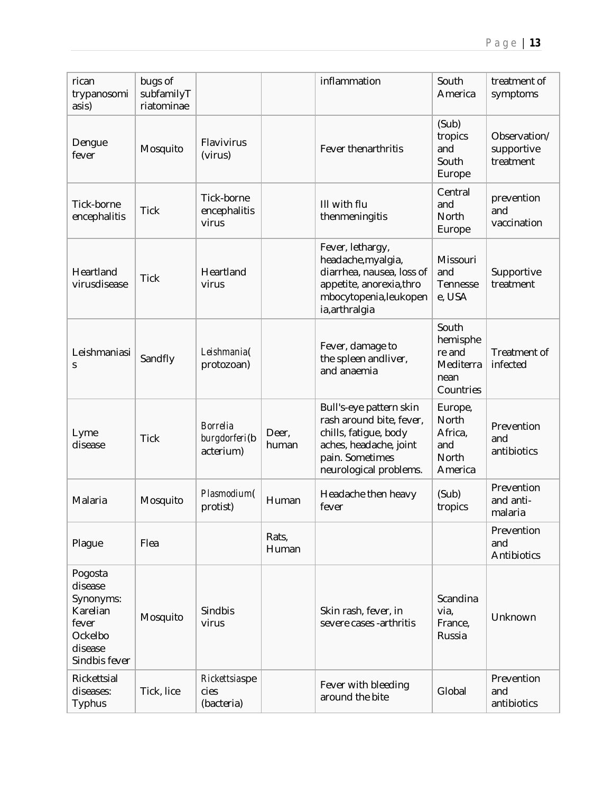| rican<br>trypanosomi<br>asis)                                                               | bugs of<br>subfamilyT<br>riatominae |                                               |                | inflammation                                                                                                                                        | South<br>America                                              | treatment of<br>symptoms                |
|---------------------------------------------------------------------------------------------|-------------------------------------|-----------------------------------------------|----------------|-----------------------------------------------------------------------------------------------------------------------------------------------------|---------------------------------------------------------------|-----------------------------------------|
| Dengue<br>fever                                                                             | Mosquito                            | Flavivirus<br>(virus)                         |                | Fever thenarthritis                                                                                                                                 | (Sub)<br>tropics<br>and<br>South<br>Europe                    | Observation/<br>supportive<br>treatment |
| Tick-borne<br>encephalitis                                                                  | <b>Tick</b>                         | Tick-borne<br>encephalitis<br>virus           |                | III with flu<br>thenmeningitis                                                                                                                      | Central<br>and<br>North<br>Europe                             | prevention<br>and<br>vaccination        |
| Heartland<br>virusdisease                                                                   | <b>Tick</b>                         | Heartland<br>virus                            |                | Fever, lethargy,<br>headache, myalgia,<br>diarrhea, nausea, loss of<br>appetite, anorexia, thro<br>mbocytopenia, leukopen<br>ia, arthralgia         | Missouri<br>and<br>Tennesse<br>e, USA                         | Supportive<br>treatment                 |
| Leishmaniasi<br>S                                                                           | Sandfly                             | Leishmania(<br>protozoan)                     |                | Fever, damage to<br>the spleen andliver,<br>and anaemia                                                                                             | South<br>hemisphe<br>re and<br>Mediterra<br>nean<br>Countries | Treatment of<br>infected                |
| Lyme<br>disease                                                                             | <b>Tick</b>                         | <b>Borrelia</b><br>burgdorferi(b<br>acterium) | Deer,<br>human | Bull's-eye pattern skin<br>rash around bite, fever,<br>chills, fatigue, body<br>aches, headache, joint<br>pain. Sometimes<br>neurological problems. | Europe,<br>North<br>Africa,<br>and<br>North<br>America        | Prevention<br>and<br>antibiotics        |
| Malaria                                                                                     | Mosquito                            | Plasmodium(<br>protist)                       | Human          | Headache then heavy<br>fever                                                                                                                        | (Sub)<br>tropics                                              | Prevention<br>and anti-<br>malaria      |
| Plague                                                                                      | Flea                                |                                               | Rats,<br>Human |                                                                                                                                                     |                                                               | Prevention<br>and<br>Antibiotics        |
| Pogosta<br>disease<br>Synonyms:<br>Karelian<br>fever<br>Ockelbo<br>disease<br>Sindbis fever | Mosquito                            | Sindbis<br>virus                              |                | Skin rash, fever, in<br>severe cases -arthritis                                                                                                     | Scandina<br>via,<br>France,<br>Russia                         | Unknown                                 |
| Rickettsial<br>diseases:<br>Typhus                                                          | Tick, lice                          | Rickettsiaspe<br>cies<br>(bacteria)           |                | Fever with bleeding<br>around the bite                                                                                                              | Global                                                        | Prevention<br>and<br>antibiotics        |